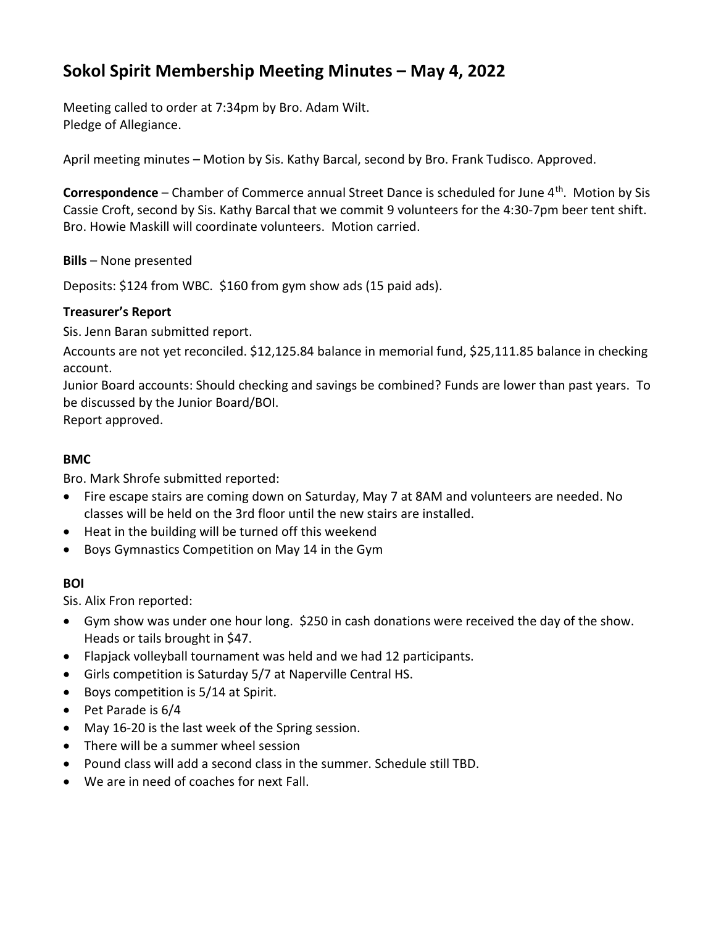# **Sokol Spirit Membership Meeting Minutes – May 4, 2022**

Meeting called to order at 7:34pm by Bro. Adam Wilt. Pledge of Allegiance.

April meeting minutes – Motion by Sis. Kathy Barcal, second by Bro. Frank Tudisco. Approved.

**Correspondence** – Chamber of Commerce annual Street Dance is scheduled for June 4<sup>th</sup>. Motion by Sis Cassie Croft, second by Sis. Kathy Barcal that we commit 9 volunteers for the 4:30-7pm beer tent shift. Bro. Howie Maskill will coordinate volunteers. Motion carried.

**Bills** – None presented

Deposits: \$124 from WBC. \$160 from gym show ads (15 paid ads).

## **Treasurer's Report**

Sis. Jenn Baran submitted report.

Accounts are not yet reconciled. \$12,125.84 balance in memorial fund, \$25,111.85 balance in checking account.

Junior Board accounts: Should checking and savings be combined? Funds are lower than past years. To be discussed by the Junior Board/BOI.

Report approved.

# **BMC**

Bro. Mark Shrofe submitted reported:

- Fire escape stairs are coming down on Saturday, May 7 at 8AM and volunteers are needed. No classes will be held on the 3rd floor until the new stairs are installed.
- Heat in the building will be turned off this weekend
- Boys Gymnastics Competition on May 14 in the Gym

## **BOI**

Sis. Alix Fron reported:

- Gym show was under one hour long. \$250 in cash donations were received the day of the show. Heads or tails brought in \$47.
- Flapjack volleyball tournament was held and we had 12 participants.
- Girls competition is Saturday 5/7 at Naperville Central HS.
- Boys competition is 5/14 at Spirit.
- Pet Parade is 6/4
- May 16-20 is the last week of the Spring session.
- There will be a summer wheel session
- Pound class will add a second class in the summer. Schedule still TBD.
- We are in need of coaches for next Fall.